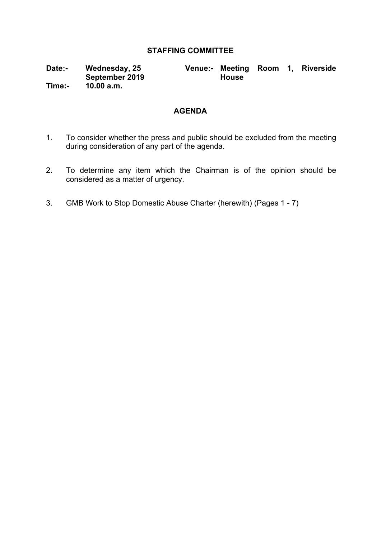# **STAFFING COMMITTEE**

**Date:- Wednesday, 25 September 2019 Time:- 10.00 a.m.**

**Venue:- Meeting Room 1, Riverside House**

# **AGENDA**

- 1. To consider whether the press and public should be excluded from the meeting during consideration of any part of the agenda.
- 2. To determine any item which the Chairman is of the opinion should be considered as a matter of urgency.
- 3. GMB Work to Stop Domestic Abuse Charter (herewith) (Pages 1 7)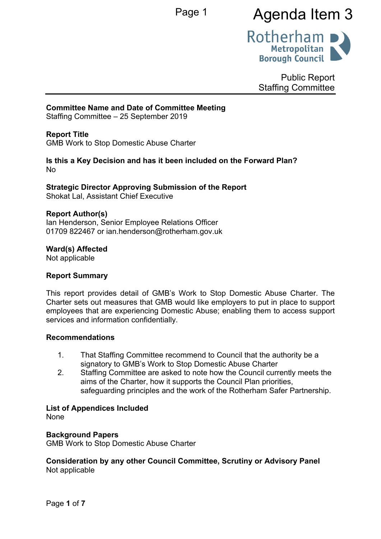# Page 1 **Agenda Item 3**



Public Report Staffing Committee

## **Committee Name and Date of Committee Meeting**

Staffing Committee – 25 September 2019

# **Report Title**

<span id="page-1-0"></span>GMB Work to Stop Domestic Abuse Charter

#### **Is this a Key Decision and has it been included on the Forward Plan?** No

# **Strategic Director Approving Submission of the Report**

Shokat Lal, Assistant Chief Executive

## **Report Author(s)**

<span id="page-1-1"></span>Ian Henderson, Senior Employee Relations Officer 01709 822467 or ian.henderson@rotherham.gov.uk

#### **Ward(s) Affected**

Not applicable

## **Report Summary**

This report provides detail of GMB's Work to Stop Domestic Abuse Charter. The Charter sets out measures that GMB would like employers to put in place to support employees that are experiencing Domestic Abuse; enabling them to access support services and information confidentially.

## **Recommendations**

- 1. That Staffing Committee recommend to Council that the authority be a signatory to GMB's Work to Stop Domestic Abuse Charter
- 2. Staffing Committee are asked to note how the Council currently meets the aims of the Charter, how it supports the Council Plan priorities, safeguarding principles and the work of the Rotherham Safer Partnership.

## **List of Appendices Included**

None

## **Background Papers**

GMB Work to Stop Domestic Abuse Charter

## **Consideration by any other Council Committee, Scrutiny or Advisory Panel** Not applicable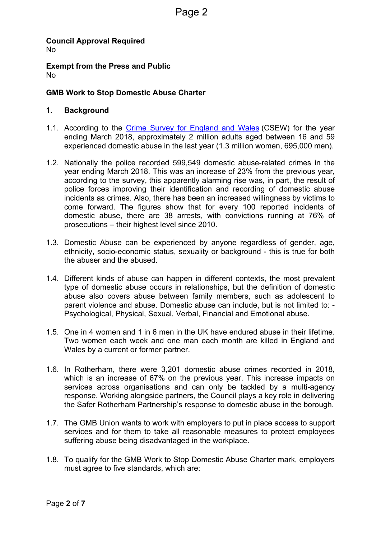**Council Approval Required** No

**Exempt from the Press and Public** No

# **GMB Work to Stop [Domestic](#page-1-0) Abuse Charter**

# **1. Background**

- 1.1. According to the Crime Survey for [England](https://www.ons.gov.uk/peoplepopulationandcommunity/crimeandjustice/bulletins/domesticabuseinenglandandwales/yearendingmarch2018) and Wales (CSEW) for the year ending March 2018, approximately 2 million adults aged between 16 and 59 experienced domestic abuse in the last year (1.3 million women, 695,000 men).
- 1.2. Nationally the police recorded 599,549 domestic abuse-related crimes in the year ending March 2018. This was an increase of 23% from the previous year, according to the survey, this apparently alarming rise was, in part, the result of police forces improving their identification and recording of domestic abuse incidents as crimes. Also, there has been an increased willingness by victims to come forward. The figures show that for every 100 reported incidents of domestic abuse, there are 38 arrests, with convictions running at 76% of prosecutions – their highest level since 2010.
- 1.3. Domestic Abuse can be experienced by anyone regardless of gender, age, ethnicity, socio-economic status, sexuality or background - this is true for both the abuser and the abused.
- 1.4. Different kinds of abuse can happen in different contexts, the most prevalent type of domestic abuse occurs in relationships, but the definition of domestic abuse also covers abuse between family members, such as adolescent to parent violence and abuse. Domestic abuse can include, but is not limited to: - Psychological, Physical, Sexual, Verbal, Financial and Emotional abuse.
- 1.5. One in 4 women and 1 in 6 men in the UK have endured abuse in their lifetime. Two women each week and one man each month are killed in England and Wales by a current or former partner.
- 1.6. In Rotherham, there were 3,201 domestic abuse crimes recorded in 2018, which is an increase of 67% on the previous year. This increase impacts on services across organisations and can only be tackled by a multi-agency response. Working alongside partners, the Council plays a key role in delivering the Safer Rotherham Partnership's response to domestic abuse in the borough.
- 1.7. The GMB Union wants to work with employers to put in place access to support services and for them to take all reasonable measures to protect employees suffering abuse being disadvantaged in the workplace.
- 1.8. To qualify for the GMB Work to Stop Domestic Abuse Charter mark, employers must agree to five standards, which are: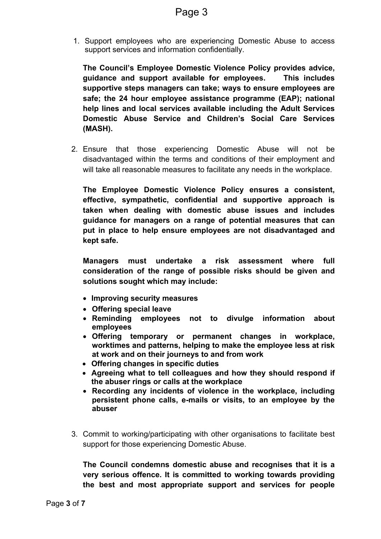1. Support employees who are experiencing Domestic Abuse to access support services and information confidentially.

**The Council's Employee Domestic Violence Policy provides advice, guidance and support available for employees. This includes supportive steps managers can take; ways to ensure employees are safe; the 24 hour employee assistance programme (EAP); national help lines and local services available including the Adult Services Domestic Abuse Service and Children's Social Care Services (MASH).**

2. Ensure that those experiencing Domestic Abuse will not be disadvantaged within the terms and conditions of their employment and will take all reasonable measures to facilitate any needs in the workplace.

**The Employee Domestic Violence Policy ensures a consistent, effective, sympathetic, confidential and supportive approach is taken when dealing with domestic abuse issues and includes guidance for managers on a range of potential measures that can put in place to help ensure employees are not disadvantaged and kept safe.**

**Managers must undertake a risk assessment where full consideration of the range of possible risks should be given and solutions sought which may include:**

- **Improving security measures**
- **Offering special leave**
- **Reminding employees not to divulge information about employees**
- **Offering temporary or permanent changes in workplace, worktimes and patterns, helping to make the employee less at risk at work and on their journeys to and from work**
- **Offering changes in specific duties**
- **Agreeing what to tell colleagues and how they should respond if the abuser rings or calls at the workplace**
- **Recording any incidents of violence in the workplace, including persistent phone calls, e-mails or visits, to an employee by the abuser**
- 3. Commit to working/participating with other organisations to facilitate best support for those experiencing Domestic Abuse.

**The Council condemns domestic abuse and recognises that it is a very serious offence. It is committed to working towards providing the best and most appropriate support and services for people**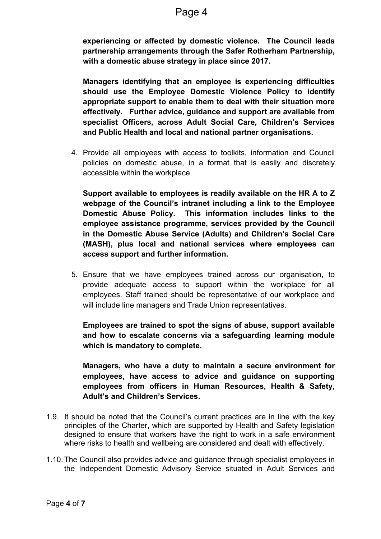**experiencing or affected by domestic violence. The Council leads partnership arrangements through the Safer Rotherham Partnership, with a domestic abuse strategy in place since 2017.**

**Managers identifying that an employee is experiencing difficulties should use the Employee Domestic Violence Policy to identify appropriate support to enable them to deal with their situation more effectively. Further advice, guidance and support are available from specialist Officers, across Adult Social Care, Children's Services and Public Health and local and national partner organisations.**

4. Provide all employees with access to toolkits, information and Council policies on domestic abuse, in a format that is easily and discretely accessible within the workplace.

**Support available to employees is readily available on the HR A to Z webpage of the Council's intranet including a link to the Employee Domestic Abuse Policy. This information includes links to the employee assistance programme, services provided by the Council in the Domestic Abuse Service (Adults) and Children's Social Care (MASH), plus local and national services where employees can access support and further information.**

5. Ensure that we have employees trained across our organisation, to provide adequate access to support within the workplace for all employees. Staff trained should be representative of our workplace and will include line managers and Trade Union representatives.

**Employees are trained to spot the signs of abuse, support available and how to escalate concerns via a safeguarding learning module which is mandatory to complete.** 

**Managers, who have a duty to maintain a secure environment for employees, have access to advice and guidance on supporting employees from officers in Human Resources, Health & Safety, Adult's and Children's Services.**

- 1.9. It should be noted that the Council's current practices are in line with the key principles of the Charter, which are supported by Health and Safety legislation designed to ensure that workers have the right to work in a safe environment where risks to health and wellbeing are considered and dealt with effectively.
- 1.10.The Council also provides advice and guidance through specialist employees in the Independent Domestic Advisory Service situated in Adult Services and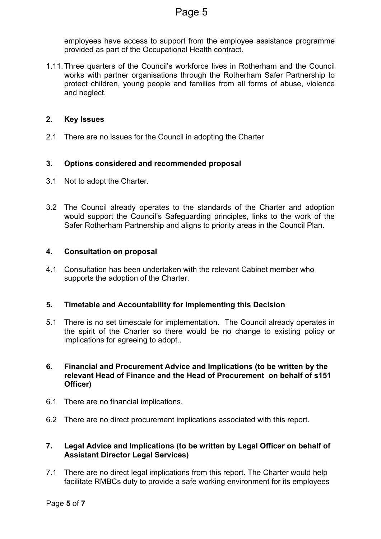employees have access to support from the employee assistance programme provided as part of the Occupational Health contract.

1.11.Three quarters of the Council's workforce lives in Rotherham and the Council works with partner organisations through the Rotherham Safer Partnership to protect children, young people and families from all forms of abuse, violence and neglect*.*

# **2. Key Issues**

2.1 There are no issues for the Council in adopting the Charter

# **3. Options considered and recommended proposal**

- 3.1 Not to adopt the Charter.
- 3.2 The Council already operates to the standards of the Charter and adoption would support the Council's Safeguarding principles, links to the work of the Safer Rotherham Partnership and aligns to priority areas in the Council Plan.

## **4. Consultation on proposal**

4.1 Consultation has been undertaken with the relevant Cabinet member who supports the adoption of the Charter.

## **5. Timetable and Accountability for Implementing this Decision**

- 5.1 There is no set timescale for implementation. The Council already operates in the spirit of the Charter so there would be no change to existing policy or implications for agreeing to adopt..
- **6. Financial and Procurement Advice and Implications (to be written by the relevant Head of Finance and the Head of Procurement on behalf of s151 Officer)**
- 6.1 There are no financial implications.
- 6.2 There are no direct procurement implications associated with this report.

## **7. Legal Advice and Implications (to be written by Legal Officer on behalf of Assistant Director Legal Services)**

7.1 There are no direct legal implications from this report. The Charter would help facilitate RMBCs duty to provide a safe working environment for its employees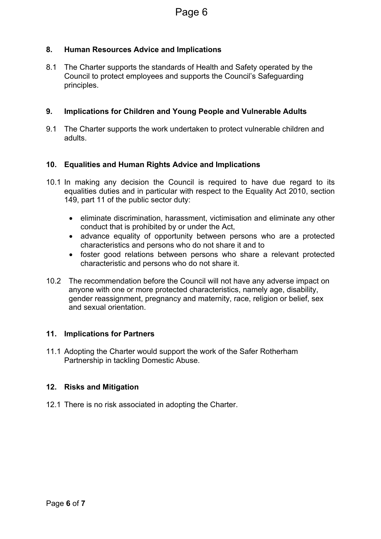# **8. Human Resources Advice and Implications**

8.1 The Charter supports the standards of Health and Safety operated by the Council to protect employees and supports the Council's Safeguarding principles.

# **9. Implications for Children and Young People and Vulnerable Adults**

9.1 The Charter supports the work undertaken to protect vulnerable children and adults.

# **10. Equalities and Human Rights Advice and Implications**

- 10.1 In making any decision the Council is required to have due regard to its equalities duties and in particular with respect to the Equality Act 2010, section 149, part 11 of the public sector duty:
	- eliminate discrimination, harassment, victimisation and eliminate any other conduct that is prohibited by or under the Act,
	- advance equality of opportunity between persons who are a protected characteristics and persons who do not share it and to
	- foster good relations between persons who share a relevant protected characteristic and persons who do not share it.
- 10.2 The recommendation before the Council will not have any adverse impact on anyone with one or more protected characteristics, namely age, disability, gender reassignment, pregnancy and maternity, race, religion or belief, sex and sexual orientation.

# **11. Implications for Partners**

11.1 Adopting the Charter would support the work of the Safer Rotherham Partnership in tackling Domestic Abuse.

# **12. Risks and Mitigation**

12.1 There is no risk associated in adopting the Charter.